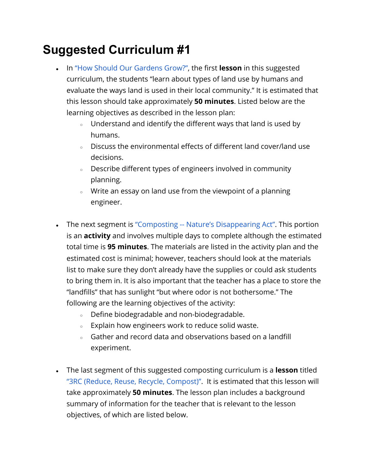## **Suggested Curriculum #1**

- In ["How Should Our Gardens Grow?"](https://www.teachengineering.org/lessons/view/cub_environ_lesson08), the first **lesson** in this suggested curriculum, the students "learn about types of land use by humans and evaluate the ways land is used in their local community." It is estimated that this lesson should take approximately **50 minutes**. Listed below are the learning objectives as described in the lesson plan:
	- Understand and identify the different ways that land is used by humans.
	- Discuss the environmental effects of different land cover/land use decisions.
	- Describe different types of engineers involved in community planning.
	- Write an essay on land use from the viewpoint of a planning engineer.
- The next segment is ["Composting -- Nature's Disappearing Act"](https://www.teachengineering.org/activities/view/cub_environ_lesson05_activity2). This portion is an **activity** and involves multiple days to complete although the estimated total time is **95 minutes**. The materials are listed in the activity plan and the estimated cost is minimal; however, teachers should look at the materials list to make sure they don't already have the supplies or could ask students to bring them in. It is also important that the teacher has a place to store the "landfills" that has sunlight "but where odor is not bothersome." The following are the learning objectives of the activity:
	- Define biodegradable and non-biodegradable.
	- Explain how engineers work to reduce solid waste.
	- Gather and record data and observations based on a landfill experiment.
- The last segment of this suggested composting curriculum is a **lesson** titled ["3RC \(Reduce, Reuse, Recycle, Compost\)".](https://www.teachengineering.org/lessons/view/cub_environ_lesson05) It is estimated that this lesson will take approximately **50 minutes**. The lesson plan includes a background summary of information for the teacher that is relevant to the lesson objectives, of which are listed below.